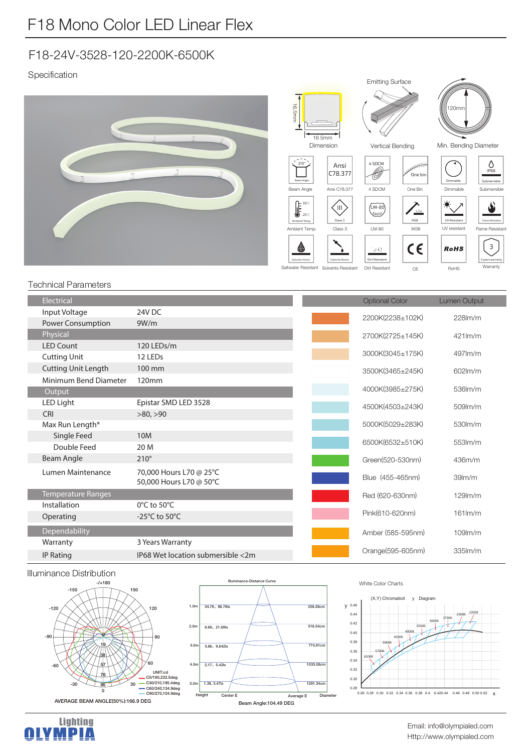# F18-24V-3528-120-2200K-6500K

Specification



### Technical Parameters

| Electrical                 |                                                    | <b>Optional Color</b> | Lumen Output        |
|----------------------------|----------------------------------------------------|-----------------------|---------------------|
| Input Voltage              | 24V DC                                             | 2200K(2238±102K)      | $228$ lm/m          |
| <b>Power Consumption</b>   | 9W/m                                               |                       |                     |
| Physical                   |                                                    | 2700K(2725±145K)      | $421$ lm/m          |
| <b>LED Count</b>           | 120 LEDs/m                                         |                       |                     |
| <b>Cutting Unit</b>        | 12 LEDs                                            | 3000K(3045±175K)      | 497lm/m             |
| <b>Cutting Unit Length</b> | 100 mm                                             | 3500K(3465±245K)      | $602$ m/m           |
| Minimum Bend Diameter      | 120mm                                              |                       |                     |
| Output                     |                                                    | 4000K(3985±275K)      | $536$ $m/m$         |
| LED Light                  | Epistar SMD LED 3528                               | 4500K(4503±243K)      | 509lm/m             |
| <b>CRI</b>                 | >80, >90                                           |                       |                     |
| Max Run Length*            |                                                    | 5000K(5029±283K)      | 530lm/m             |
| Single Feed                | 10M                                                | 6500K(6532±510K)      | $553$ $m/m$         |
| Double Feed                | 20 M                                               |                       |                     |
| Beam Angle                 | $210^\circ$                                        | Green(520-530nm)      | 436m/m              |
| Lumen Maintenance          | 70,000 Hours L70 @ 25°C<br>50,000 Hours L70 @ 50°C | Blue (455-465nm)      | 39 <sub>lm</sub> /m |
| <b>Temperature Ranges</b>  |                                                    | Red (620-630nm)       | $129$ m/m           |
| Installation               | $0^{\circ}$ C to 50 $^{\circ}$ C                   |                       |                     |
| Operating                  | -25 $^{\circ}$ C to 50 $^{\circ}$ C                | Pink(610-620nm)       | $161$ $\text{Im/m}$ |
| Dependability              |                                                    | Amber (585-595nm)     | $109$ $m/m$         |
| Warranty                   | 3 Years Warranty                                   |                       |                     |
| <b>IP Rating</b>           | IP68 Wet location submersible <2m                  | Orange(595-605nm)     | 335lm/m             |

#### Illuminance Distribution





#### White Color Charts



Http://www.olympialed.com Email: info@olympialed.com